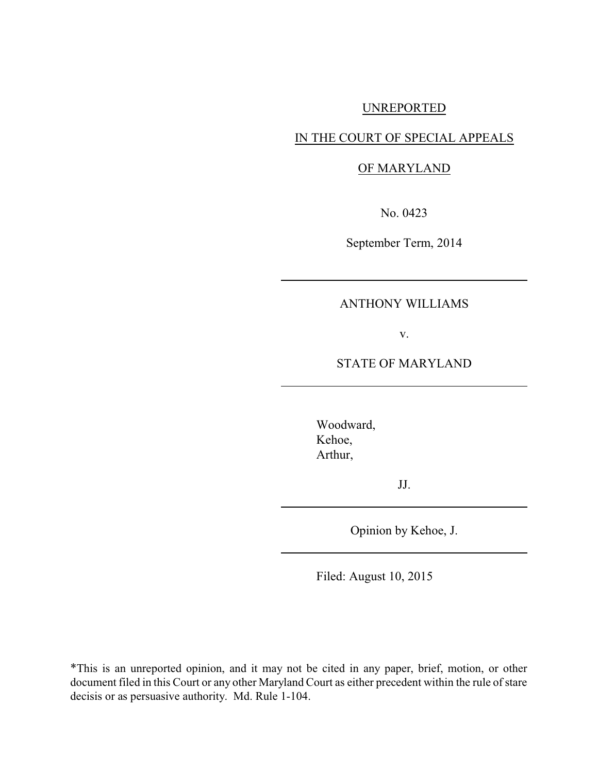## UNREPORTED

## IN THE COURT OF SPECIAL APPEALS

### OF MARYLAND

No. 0423

September Term, 2014

## ANTHONY WILLIAMS

v.

### STATE OF MARYLAND

Woodward, Kehoe, Arthur,

JJ.

Opinion by Kehoe, J.

Filed: August 10, 2015

\*This is an unreported opinion, and it may not be cited in any paper, brief, motion, or other document filed in this Court or any other Maryland Court as either precedent within the rule of stare decisis or as persuasive authority. Md. Rule 1-104.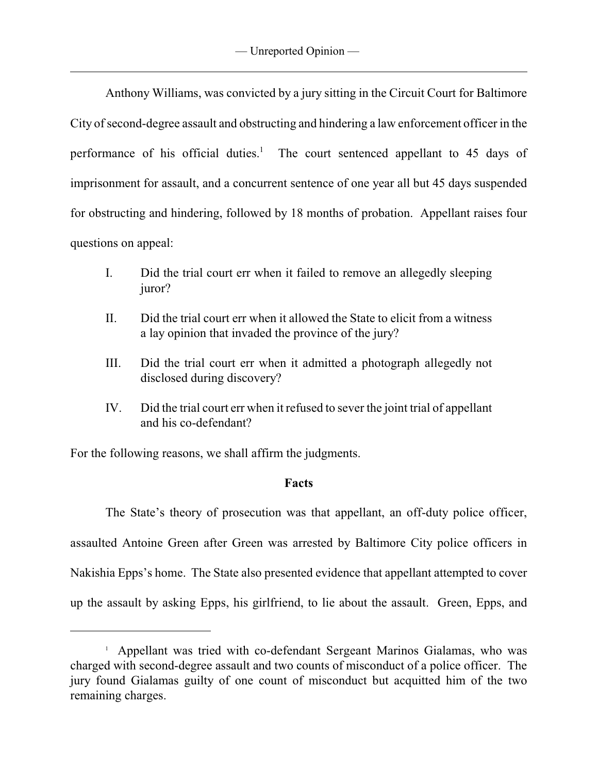Anthony Williams, was convicted by a jury sitting in the Circuit Court for Baltimore City of second-degree assault and obstructing and hindering a law enforcement officer in the performance of his official duties.<sup>1</sup> The court sentenced appellant to 45 days of imprisonment for assault, and a concurrent sentence of one year all but 45 days suspended for obstructing and hindering, followed by 18 months of probation. Appellant raises four questions on appeal:

- I. Did the trial court err when it failed to remove an allegedly sleeping juror?
- II. Did the trial court err when it allowed the State to elicit from a witness a lay opinion that invaded the province of the jury?
- III. Did the trial court err when it admitted a photograph allegedly not disclosed during discovery?
- IV. Did the trial court err when it refused to sever the joint trial of appellant and his co-defendant?

For the following reasons, we shall affirm the judgments.

## **Facts**

The State's theory of prosecution was that appellant, an off-duty police officer, assaulted Antoine Green after Green was arrested by Baltimore City police officers in Nakishia Epps's home. The State also presented evidence that appellant attempted to cover up the assault by asking Epps, his girlfriend, to lie about the assault. Green, Epps, and

<sup>&</sup>lt;sup>1</sup> Appellant was tried with co-defendant Sergeant Marinos Gialamas, who was charged with second-degree assault and two counts of misconduct of a police officer. The jury found Gialamas guilty of one count of misconduct but acquitted him of the two remaining charges.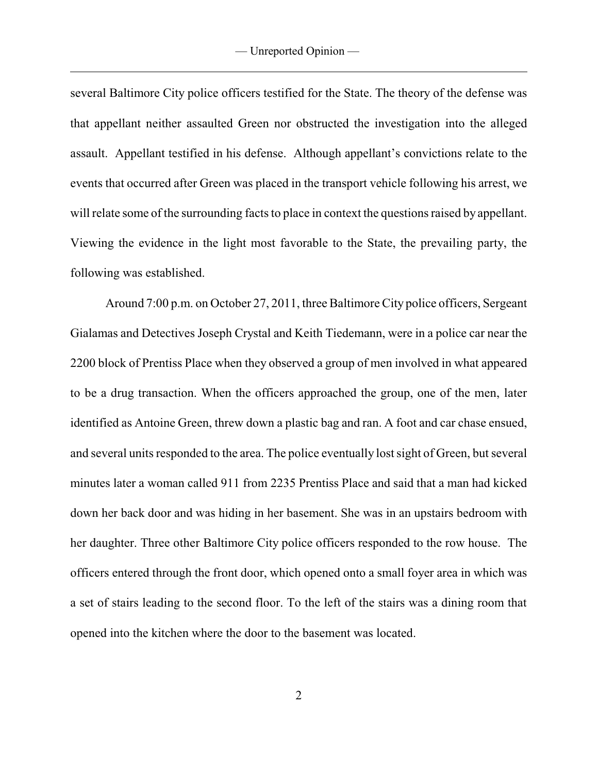several Baltimore City police officers testified for the State. The theory of the defense was that appellant neither assaulted Green nor obstructed the investigation into the alleged assault. Appellant testified in his defense. Although appellant's convictions relate to the events that occurred after Green was placed in the transport vehicle following his arrest, we will relate some of the surrounding facts to place in context the questions raised by appellant. Viewing the evidence in the light most favorable to the State, the prevailing party, the following was established.

Around 7:00 p.m. on October 27, 2011, three Baltimore City police officers, Sergeant Gialamas and Detectives Joseph Crystal and Keith Tiedemann, were in a police car near the 2200 block of Prentiss Place when they observed a group of men involved in what appeared to be a drug transaction. When the officers approached the group, one of the men, later identified as Antoine Green, threw down a plastic bag and ran. A foot and car chase ensued, and several units responded to the area. The police eventually lost sight of Green, but several minutes later a woman called 911 from 2235 Prentiss Place and said that a man had kicked down her back door and was hiding in her basement. She was in an upstairs bedroom with her daughter. Three other Baltimore City police officers responded to the row house. The officers entered through the front door, which opened onto a small foyer area in which was a set of stairs leading to the second floor. To the left of the stairs was a dining room that opened into the kitchen where the door to the basement was located.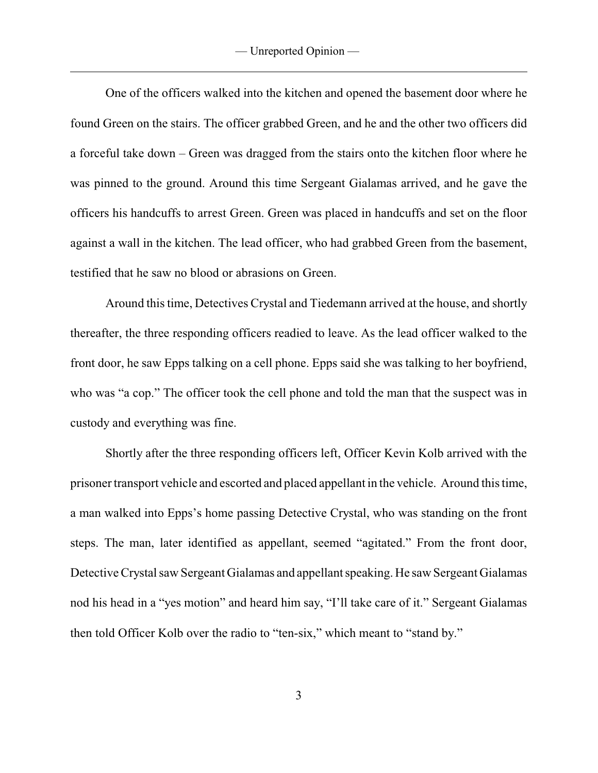One of the officers walked into the kitchen and opened the basement door where he found Green on the stairs. The officer grabbed Green, and he and the other two officers did a forceful take down – Green was dragged from the stairs onto the kitchen floor where he was pinned to the ground. Around this time Sergeant Gialamas arrived, and he gave the officers his handcuffs to arrest Green. Green was placed in handcuffs and set on the floor against a wall in the kitchen. The lead officer, who had grabbed Green from the basement, testified that he saw no blood or abrasions on Green.

Around this time, Detectives Crystal and Tiedemann arrived at the house, and shortly thereafter, the three responding officers readied to leave. As the lead officer walked to the front door, he saw Epps talking on a cell phone. Epps said she was talking to her boyfriend, who was "a cop." The officer took the cell phone and told the man that the suspect was in custody and everything was fine.

Shortly after the three responding officers left, Officer Kevin Kolb arrived with the prisoner transport vehicle and escorted and placed appellant in the vehicle. Around this time, a man walked into Epps's home passing Detective Crystal, who was standing on the front steps. The man, later identified as appellant, seemed "agitated." From the front door, Detective Crystal saw Sergeant Gialamas and appellant speaking. He saw Sergeant Gialamas nod his head in a "yes motion" and heard him say, "I'll take care of it." Sergeant Gialamas then told Officer Kolb over the radio to "ten-six," which meant to "stand by."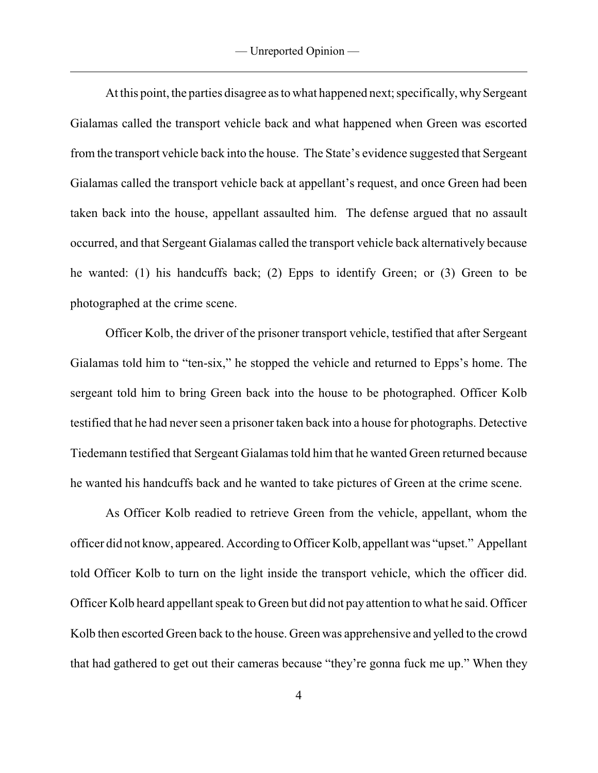At this point, the parties disagree as to what happened next; specifically, why Sergeant Gialamas called the transport vehicle back and what happened when Green was escorted from the transport vehicle back into the house. The State's evidence suggested that Sergeant Gialamas called the transport vehicle back at appellant's request, and once Green had been taken back into the house, appellant assaulted him. The defense argued that no assault occurred, and that Sergeant Gialamas called the transport vehicle back alternatively because he wanted: (1) his handcuffs back; (2) Epps to identify Green; or (3) Green to be photographed at the crime scene.

Officer Kolb, the driver of the prisoner transport vehicle, testified that after Sergeant Gialamas told him to "ten-six," he stopped the vehicle and returned to Epps's home. The sergeant told him to bring Green back into the house to be photographed. Officer Kolb testified that he had never seen a prisoner taken back into a house for photographs. Detective Tiedemann testified that Sergeant Gialamas told him that he wanted Green returned because he wanted his handcuffs back and he wanted to take pictures of Green at the crime scene.

As Officer Kolb readied to retrieve Green from the vehicle, appellant, whom the officer did not know, appeared. According to Officer Kolb, appellant was "upset." Appellant told Officer Kolb to turn on the light inside the transport vehicle, which the officer did. Officer Kolb heard appellant speak to Green but did not pay attention to what he said. Officer Kolb then escorted Green back to the house. Green was apprehensive and yelled to the crowd that had gathered to get out their cameras because "they're gonna fuck me up." When they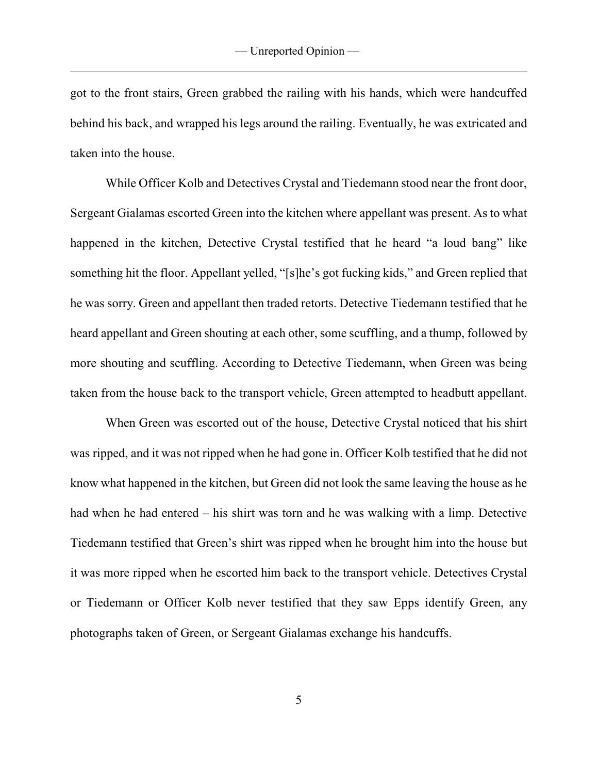got to the front stairs, Green grabbed the railing with his hands, which were handcuffed behind his back, and wrapped his legs around the railing. Eventually, he was extricated and taken into the house.

While Officer Kolb and Detectives Crystal and Tiedemann stood near the front door, Sergeant Gialamas escorted Green into the kitchen where appellant was present. As to what happened in the kitchen, Detective Crystal testified that he heard "a loud bang" like something hit the floor. Appellant yelled, "[s]he's got fucking kids," and Green replied that he was sorry. Green and appellant then traded retorts. Detective Tiedemann testified that he heard appellant and Green shouting at each other, some scuffling, and a thump, followed by more shouting and scuffling. According to Detective Tiedemann, when Green was being taken from the house back to the transport vehicle, Green attempted to headbutt appellant.

When Green was escorted out of the house, Detective Crystal noticed that his shirt was ripped, and it was not ripped when he had gone in. Officer Kolb testified that he did not know what happened in the kitchen, but Green did not look the same leaving the house as he had when he had entered – his shirt was torn and he was walking with a limp. Detective Tiedemann testified that Green's shirt was ripped when he brought him into the house but it was more ripped when he escorted him back to the transport vehicle. Detectives Crystal or Tiedemann or Officer Kolb never testified that they saw Epps identify Green, any photographs taken of Green, or Sergeant Gialamas exchange his handcuffs.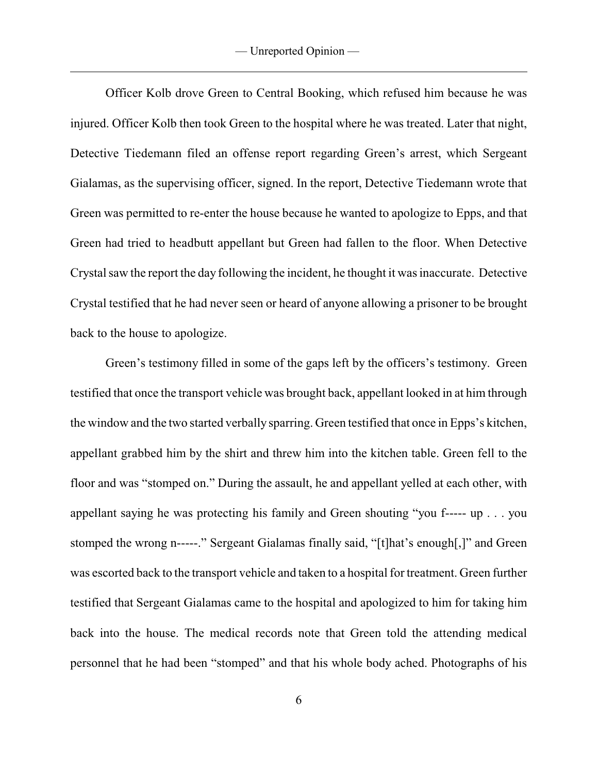Officer Kolb drove Green to Central Booking, which refused him because he was injured. Officer Kolb then took Green to the hospital where he was treated. Later that night, Detective Tiedemann filed an offense report regarding Green's arrest, which Sergeant Gialamas, as the supervising officer, signed. In the report, Detective Tiedemann wrote that Green was permitted to re-enter the house because he wanted to apologize to Epps, and that Green had tried to headbutt appellant but Green had fallen to the floor. When Detective Crystal saw the report the day following the incident, he thought it was inaccurate. Detective Crystal testified that he had never seen or heard of anyone allowing a prisoner to be brought back to the house to apologize.

Green's testimony filled in some of the gaps left by the officers's testimony. Green testified that once the transport vehicle was brought back, appellant looked in at him through the window and the two started verbally sparring. Green testified that once in Epps's kitchen, appellant grabbed him by the shirt and threw him into the kitchen table. Green fell to the floor and was "stomped on." During the assault, he and appellant yelled at each other, with appellant saying he was protecting his family and Green shouting "you f----- up . . . you stomped the wrong n-----." Sergeant Gialamas finally said, "[t]hat's enough[,]" and Green was escorted back to the transport vehicle and taken to a hospital for treatment. Green further testified that Sergeant Gialamas came to the hospital and apologized to him for taking him back into the house. The medical records note that Green told the attending medical personnel that he had been "stomped" and that his whole body ached. Photographs of his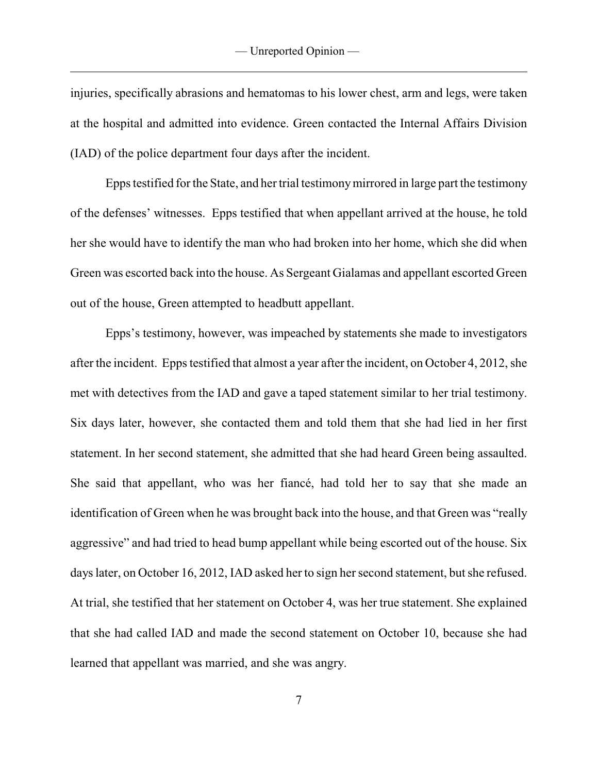injuries, specifically abrasions and hematomas to his lower chest, arm and legs, were taken at the hospital and admitted into evidence. Green contacted the Internal Affairs Division (IAD) of the police department four days after the incident.

Epps testified for the State, and her trial testimonymirrored in large part the testimony of the defenses' witnesses. Epps testified that when appellant arrived at the house, he told her she would have to identify the man who had broken into her home, which she did when Green was escorted back into the house. As Sergeant Gialamas and appellant escorted Green out of the house, Green attempted to headbutt appellant.

Epps's testimony, however, was impeached by statements she made to investigators after the incident. Epps testified that almost a year after the incident, on October 4, 2012, she met with detectives from the IAD and gave a taped statement similar to her trial testimony. Six days later, however, she contacted them and told them that she had lied in her first statement. In her second statement, she admitted that she had heard Green being assaulted. She said that appellant, who was her fiancé, had told her to say that she made an identification of Green when he was brought back into the house, and that Green was "really aggressive" and had tried to head bump appellant while being escorted out of the house. Six days later, on October 16, 2012, IAD asked her to sign her second statement, but she refused. At trial, she testified that her statement on October 4, was her true statement. She explained that she had called IAD and made the second statement on October 10, because she had learned that appellant was married, and she was angry.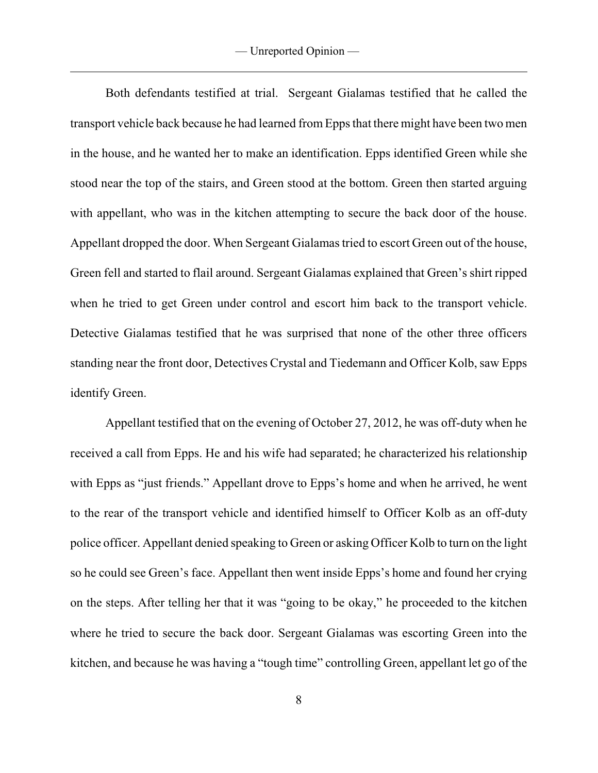Both defendants testified at trial. Sergeant Gialamas testified that he called the transport vehicle back because he had learned from Epps that there might have been two men in the house, and he wanted her to make an identification. Epps identified Green while she stood near the top of the stairs, and Green stood at the bottom. Green then started arguing with appellant, who was in the kitchen attempting to secure the back door of the house. Appellant dropped the door. When Sergeant Gialamas tried to escort Green out of the house, Green fell and started to flail around. Sergeant Gialamas explained that Green's shirt ripped when he tried to get Green under control and escort him back to the transport vehicle. Detective Gialamas testified that he was surprised that none of the other three officers standing near the front door, Detectives Crystal and Tiedemann and Officer Kolb, saw Epps identify Green.

Appellant testified that on the evening of October 27, 2012, he was off-duty when he received a call from Epps. He and his wife had separated; he characterized his relationship with Epps as "just friends." Appellant drove to Epps's home and when he arrived, he went to the rear of the transport vehicle and identified himself to Officer Kolb as an off-duty police officer. Appellant denied speaking to Green or asking Officer Kolb to turn on the light so he could see Green's face. Appellant then went inside Epps's home and found her crying on the steps. After telling her that it was "going to be okay," he proceeded to the kitchen where he tried to secure the back door. Sergeant Gialamas was escorting Green into the kitchen, and because he was having a "tough time" controlling Green, appellant let go of the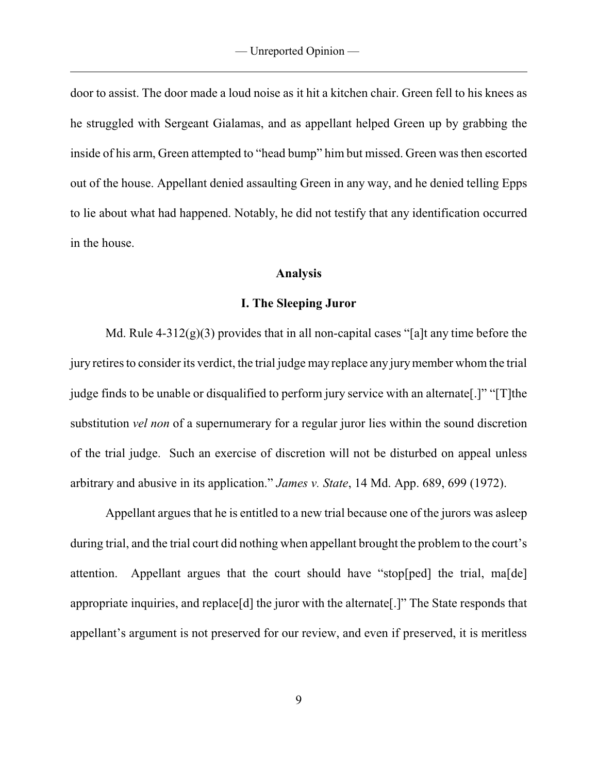door to assist. The door made a loud noise as it hit a kitchen chair. Green fell to his knees as he struggled with Sergeant Gialamas, and as appellant helped Green up by grabbing the inside of his arm, Green attempted to "head bump" him but missed. Green was then escorted out of the house. Appellant denied assaulting Green in any way, and he denied telling Epps to lie about what had happened. Notably, he did not testify that any identification occurred in the house.

### **Analysis**

#### **I. The Sleeping Juror**

Md. Rule  $4-312(g)(3)$  provides that in all non-capital cases "[a]t any time before the jury retires to consider its verdict, the trial judge may replace any jurymember whom the trial judge finds to be unable or disqualified to perform jury service with an alternate.]" "[T]the substitution *vel non* of a supernumerary for a regular juror lies within the sound discretion of the trial judge. Such an exercise of discretion will not be disturbed on appeal unless arbitrary and abusive in its application." *James v. State*, 14 Md. App. 689, 699 (1972).

Appellant argues that he is entitled to a new trial because one of the jurors was asleep during trial, and the trial court did nothing when appellant brought the problem to the court's attention. Appellant argues that the court should have "stop[ped] the trial, ma[de] appropriate inquiries, and replace[d] the juror with the alternate[.]" The State responds that appellant's argument is not preserved for our review, and even if preserved, it is meritless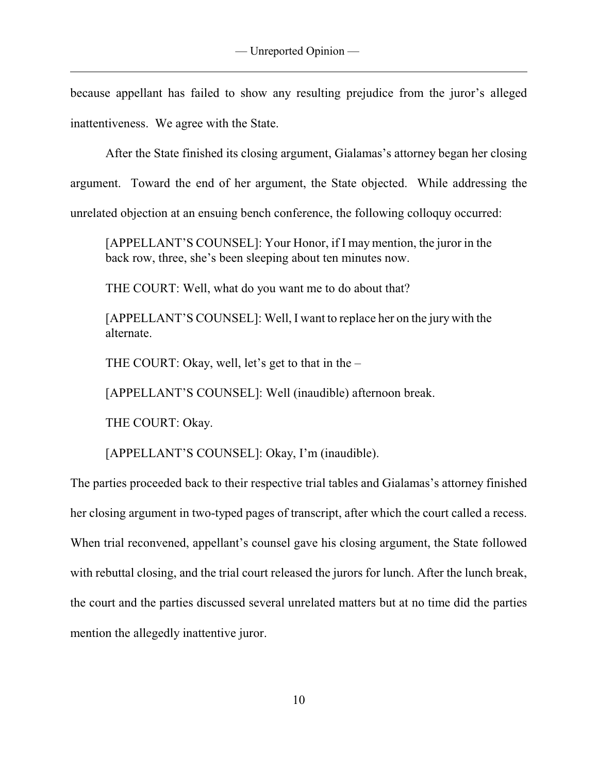because appellant has failed to show any resulting prejudice from the juror's alleged inattentiveness. We agree with the State.

After the State finished its closing argument, Gialamas's attorney began her closing argument. Toward the end of her argument, the State objected. While addressing the unrelated objection at an ensuing bench conference, the following colloquy occurred:

[APPELLANT'S COUNSEL]: Your Honor, if I may mention, the juror in the back row, three, she's been sleeping about ten minutes now.

THE COURT: Well, what do you want me to do about that?

[APPELLANT'S COUNSEL]: Well, I want to replace her on the jury with the alternate.

THE COURT: Okay, well, let's get to that in the –

[APPELLANT'S COUNSEL]: Well (inaudible) afternoon break.

THE COURT: Okay.

[APPELLANT'S COUNSEL]: Okay, I'm (inaudible).

The parties proceeded back to their respective trial tables and Gialamas's attorney finished her closing argument in two-typed pages of transcript, after which the court called a recess. When trial reconvened, appellant's counsel gave his closing argument, the State followed with rebuttal closing, and the trial court released the jurors for lunch. After the lunch break, the court and the parties discussed several unrelated matters but at no time did the parties mention the allegedly inattentive juror.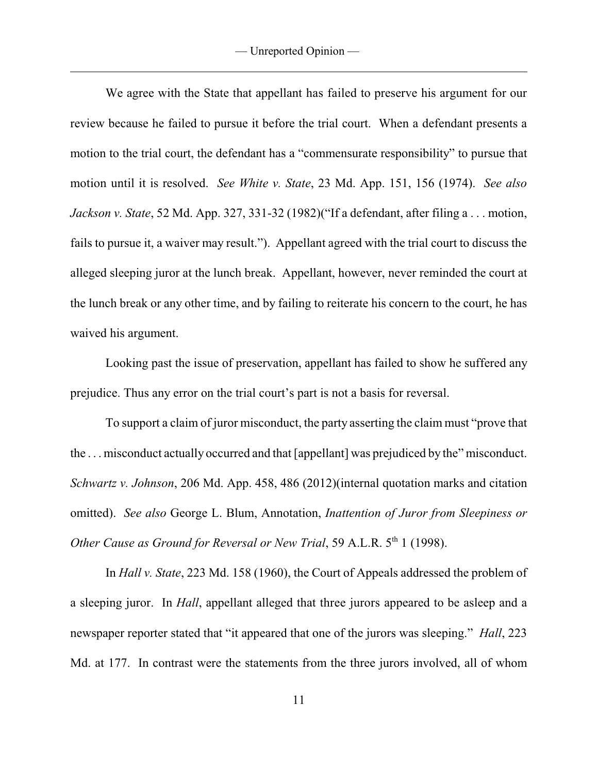We agree with the State that appellant has failed to preserve his argument for our review because he failed to pursue it before the trial court. When a defendant presents a motion to the trial court, the defendant has a "commensurate responsibility" to pursue that motion until it is resolved. *See White v. State*, 23 Md. App. 151, 156 (1974). *See also Jackson v. State*, 52 Md. App. 327, 331-32 (1982)("If a defendant, after filing a . . . motion, fails to pursue it, a waiver may result."). Appellant agreed with the trial court to discuss the alleged sleeping juror at the lunch break. Appellant, however, never reminded the court at the lunch break or any other time, and by failing to reiterate his concern to the court, he has waived his argument.

Looking past the issue of preservation, appellant has failed to show he suffered any prejudice. Thus any error on the trial court's part is not a basis for reversal.

To support a claim of juror misconduct, the party asserting the claim must "prove that the . . . misconduct actually occurred and that [appellant] was prejudiced by the" misconduct. *Schwartz v. Johnson*, 206 Md. App. 458, 486 (2012)(internal quotation marks and citation omitted). *See also* George L. Blum, Annotation, *Inattention of Juror from Sleepiness or Other Cause as Ground for Reversal or New Trial*, 59 A.L.R. 5<sup>th</sup> 1 (1998).

In *Hall v. State*, 223 Md. 158 (1960), the Court of Appeals addressed the problem of a sleeping juror. In *Hall*, appellant alleged that three jurors appeared to be asleep and a newspaper reporter stated that "it appeared that one of the jurors was sleeping." *Hall*, 223 Md. at 177. In contrast were the statements from the three jurors involved, all of whom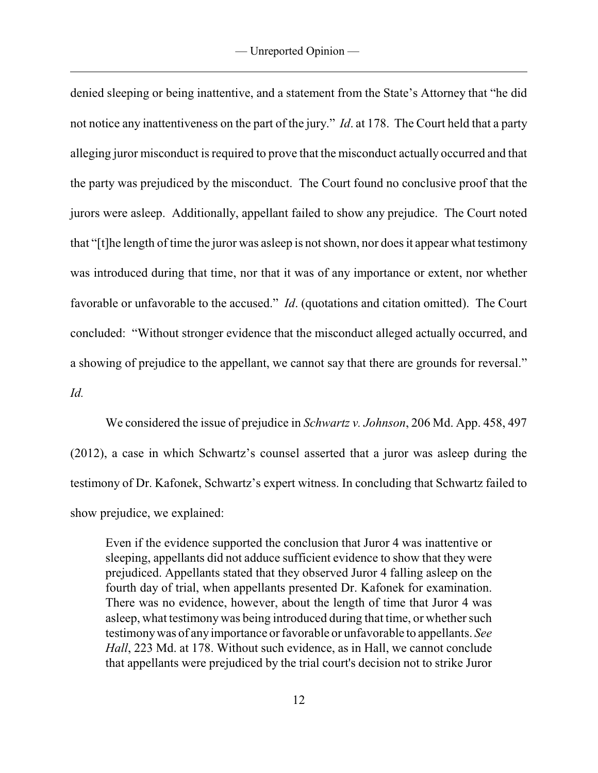denied sleeping or being inattentive, and a statement from the State's Attorney that "he did not notice any inattentiveness on the part of the jury." *Id*. at 178. The Court held that a party alleging juror misconduct is required to prove that the misconduct actually occurred and that the party was prejudiced by the misconduct. The Court found no conclusive proof that the jurors were asleep. Additionally, appellant failed to show any prejudice. The Court noted that "[t]he length of time the juror was asleep is not shown, nor does it appear what testimony was introduced during that time, nor that it was of any importance or extent, nor whether favorable or unfavorable to the accused." *Id*. (quotations and citation omitted). The Court concluded: "Without stronger evidence that the misconduct alleged actually occurred, and a showing of prejudice to the appellant, we cannot say that there are grounds for reversal."

*Id.* 

We considered the issue of prejudice in *Schwartz v. Johnson*, 206 Md. App. 458, 497 (2012), a case in which Schwartz's counsel asserted that a juror was asleep during the testimony of Dr. Kafonek, Schwartz's expert witness. In concluding that Schwartz failed to show prejudice, we explained:

Even if the evidence supported the conclusion that Juror 4 was inattentive or sleeping, appellants did not adduce sufficient evidence to show that they were prejudiced. Appellants stated that they observed Juror 4 falling asleep on the fourth day of trial, when appellants presented Dr. Kafonek for examination. There was no evidence, however, about the length of time that Juror 4 was asleep, what testimony was being introduced during that time, or whether such testimonywas of anyimportance or favorable or unfavorable to appellants. *See Hall*, 223 Md. at 178. Without such evidence, as in Hall, we cannot conclude that appellants were prejudiced by the trial court's decision not to strike Juror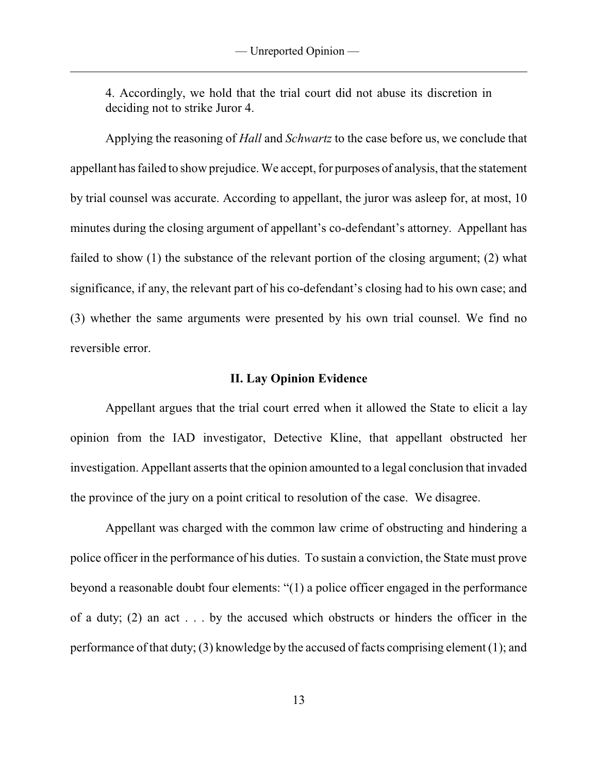4. Accordingly, we hold that the trial court did not abuse its discretion in deciding not to strike Juror 4.

Applying the reasoning of *Hall* and *Schwartz* to the case before us, we conclude that appellant has failed to show prejudice. We accept, for purposes of analysis, that the statement by trial counsel was accurate. According to appellant, the juror was asleep for, at most, 10 minutes during the closing argument of appellant's co-defendant's attorney. Appellant has failed to show (1) the substance of the relevant portion of the closing argument; (2) what significance, if any, the relevant part of his co-defendant's closing had to his own case; and (3) whether the same arguments were presented by his own trial counsel. We find no reversible error.

#### **II. Lay Opinion Evidence**

Appellant argues that the trial court erred when it allowed the State to elicit a lay opinion from the IAD investigator, Detective Kline, that appellant obstructed her investigation. Appellant asserts that the opinion amounted to a legal conclusion that invaded the province of the jury on a point critical to resolution of the case. We disagree.

Appellant was charged with the common law crime of obstructing and hindering a police officer in the performance of his duties. To sustain a conviction, the State must prove beyond a reasonable doubt four elements: "(1) a police officer engaged in the performance of a duty; (2) an act . . . by the accused which obstructs or hinders the officer in the performance of that duty; (3) knowledge by the accused of facts comprising element (1); and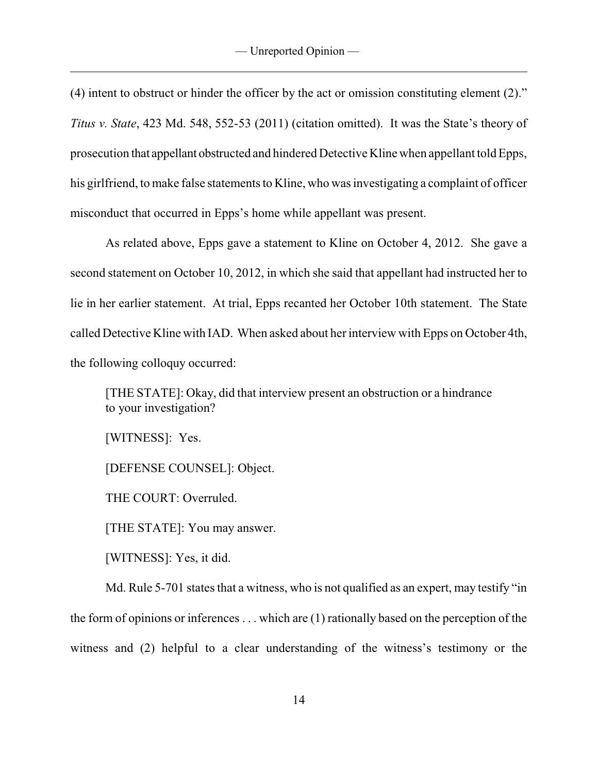(4) intent to obstruct or hinder the officer by the act or omission constituting element (2)." *Titus v. State*, 423 Md. 548, 552-53 (2011) (citation omitted). It was the State's theory of prosecution that appellant obstructed and hindered Detective Kline when appellant told Epps, his girlfriend, to make false statements to Kline, who was investigating a complaint of officer misconduct that occurred in Epps's home while appellant was present.

As related above, Epps gave a statement to Kline on October 4, 2012. She gave a second statement on October 10, 2012, in which she said that appellant had instructed her to lie in her earlier statement. At trial, Epps recanted her October 10th statement. The State called Detective Kline with IAD. When asked about her interview with Epps on October 4th, the following colloquy occurred:

[THE STATE]: Okay, did that interview present an obstruction or a hindrance to your investigation?

[WITNESS]: Yes.

[DEFENSE COUNSEL]: Object.

THE COURT: Overruled.

[THE STATE]: You may answer.

[WITNESS]: Yes, it did.

Md. Rule 5-701 states that a witness, who is not qualified as an expert, may testify "in the form of opinions or inferences . . . which are (1) rationally based on the perception of the witness and (2) helpful to a clear understanding of the witness's testimony or the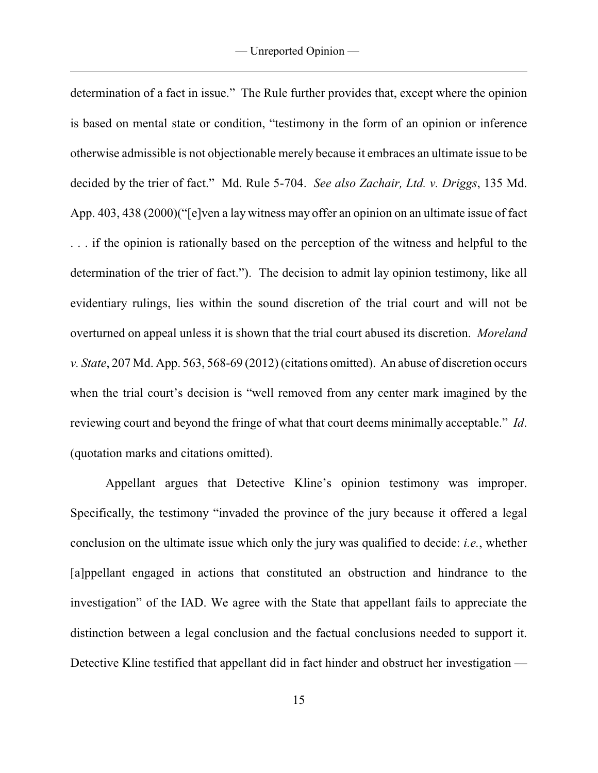determination of a fact in issue." The Rule further provides that, except where the opinion is based on mental state or condition, "testimony in the form of an opinion or inference otherwise admissible is not objectionable merely because it embraces an ultimate issue to be decided by the trier of fact." Md. Rule 5-704. *See also Zachair, Ltd. v. Driggs*, 135 Md. App. 403, 438 (2000)("[e]ven a lay witness may offer an opinion on an ultimate issue of fact . . . if the opinion is rationally based on the perception of the witness and helpful to the determination of the trier of fact."). The decision to admit lay opinion testimony, like all evidentiary rulings, lies within the sound discretion of the trial court and will not be overturned on appeal unless it is shown that the trial court abused its discretion. *Moreland v. State*, 207 Md. App. 563, 568-69 (2012) (citations omitted). An abuse of discretion occurs when the trial court's decision is "well removed from any center mark imagined by the reviewing court and beyond the fringe of what that court deems minimally acceptable." *Id*. (quotation marks and citations omitted).

Appellant argues that Detective Kline's opinion testimony was improper. Specifically, the testimony "invaded the province of the jury because it offered a legal conclusion on the ultimate issue which only the jury was qualified to decide: *i.e.*, whether [a]ppellant engaged in actions that constituted an obstruction and hindrance to the investigation" of the IAD. We agree with the State that appellant fails to appreciate the distinction between a legal conclusion and the factual conclusions needed to support it. Detective Kline testified that appellant did in fact hinder and obstruct her investigation —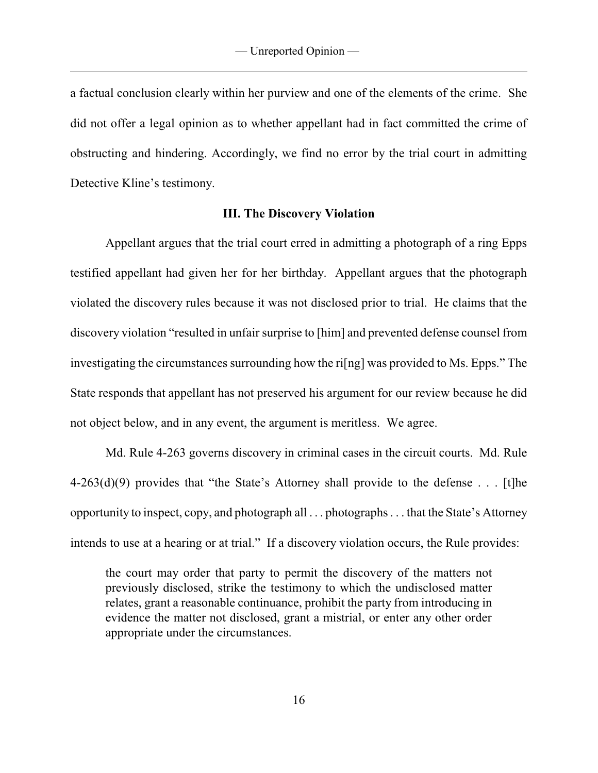a factual conclusion clearly within her purview and one of the elements of the crime. She did not offer a legal opinion as to whether appellant had in fact committed the crime of obstructing and hindering. Accordingly, we find no error by the trial court in admitting Detective Kline's testimony.

#### **III. The Discovery Violation**

Appellant argues that the trial court erred in admitting a photograph of a ring Epps testified appellant had given her for her birthday. Appellant argues that the photograph violated the discovery rules because it was not disclosed prior to trial. He claims that the discovery violation "resulted in unfair surprise to [him] and prevented defense counsel from investigating the circumstances surrounding how the ri[ng] was provided to Ms. Epps." The State responds that appellant has not preserved his argument for our review because he did not object below, and in any event, the argument is meritless. We agree.

Md. Rule 4-263 governs discovery in criminal cases in the circuit courts. Md. Rule  $4-263(d)(9)$  provides that "the State's Attorney shall provide to the defense . . . [t]he opportunity to inspect, copy, and photograph all . . . photographs . . . that the State's Attorney intends to use at a hearing or at trial." If a discovery violation occurs, the Rule provides:

the court may order that party to permit the discovery of the matters not previously disclosed, strike the testimony to which the undisclosed matter relates, grant a reasonable continuance, prohibit the party from introducing in evidence the matter not disclosed, grant a mistrial, or enter any other order appropriate under the circumstances.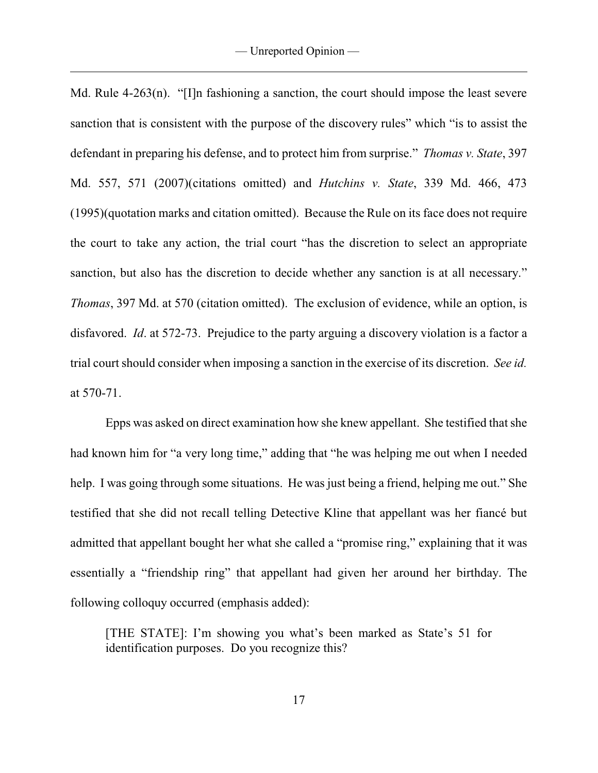Md. Rule 4-263(n). "[I]n fashioning a sanction, the court should impose the least severe sanction that is consistent with the purpose of the discovery rules" which "is to assist the defendant in preparing his defense, and to protect him from surprise." *Thomas v. State*, 397 Md. 557, 571 (2007)(citations omitted) and *Hutchins v. State*, 339 Md. 466, 473 (1995)(quotation marks and citation omitted). Because the Rule on its face does not require the court to take any action, the trial court "has the discretion to select an appropriate sanction, but also has the discretion to decide whether any sanction is at all necessary." *Thomas*, 397 Md. at 570 (citation omitted). The exclusion of evidence, while an option, is disfavored. *Id*. at 572-73. Prejudice to the party arguing a discovery violation is a factor a trial court should consider when imposing a sanction in the exercise of its discretion. *See id.* at 570-71.

Epps was asked on direct examination how she knew appellant. She testified that she had known him for "a very long time," adding that "he was helping me out when I needed help. I was going through some situations. He was just being a friend, helping me out." She testified that she did not recall telling Detective Kline that appellant was her fiancé but admitted that appellant bought her what she called a "promise ring," explaining that it was essentially a "friendship ring" that appellant had given her around her birthday. The following colloquy occurred (emphasis added):

[THE STATE]: I'm showing you what's been marked as State's 51 for identification purposes. Do you recognize this?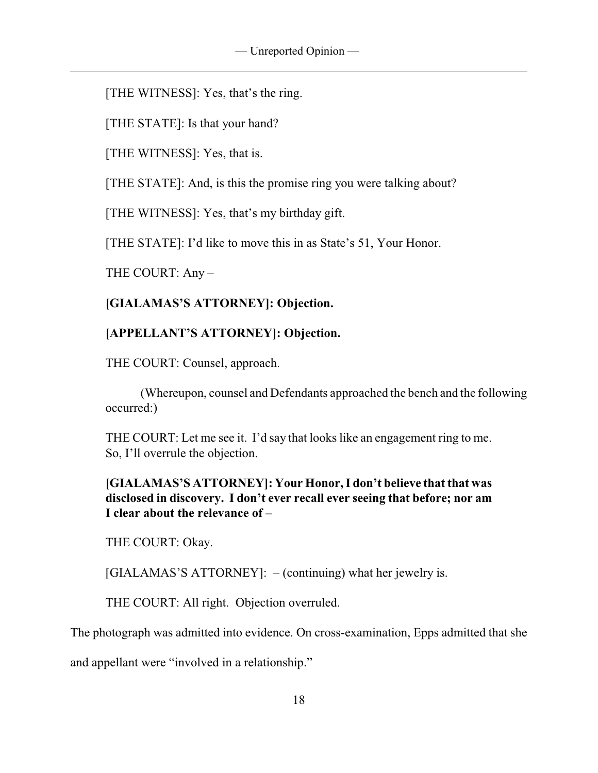[THE WITNESS]: Yes, that's the ring.

[THE STATE]: Is that your hand?

[THE WITNESS]: Yes, that is.

[THE STATE]: And, is this the promise ring you were talking about?

[THE WITNESS]: Yes, that's my birthday gift.

[THE STATE]: I'd like to move this in as State's 51, Your Honor.

THE COURT: Any –

# **[GIALAMAS'S ATTORNEY]: Objection.**

# **[APPELLANT'S ATTORNEY]: Objection.**

THE COURT: Counsel, approach.

(Whereupon, counsel and Defendants approached the bench and the following occurred:)

THE COURT: Let me see it. I'd say that looks like an engagement ring to me. So, I'll overrule the objection.

## **[GIALAMAS'S ATTORNEY]: Your Honor, I don't believe that that was disclosed in discovery. I don't ever recall ever seeing that before; nor am I clear about the relevance of –**

THE COURT: Okay.

[GIALAMAS'S ATTORNEY]: – (continuing) what her jewelry is.

THE COURT: All right. Objection overruled.

The photograph was admitted into evidence. On cross-examination, Epps admitted that she

and appellant were "involved in a relationship."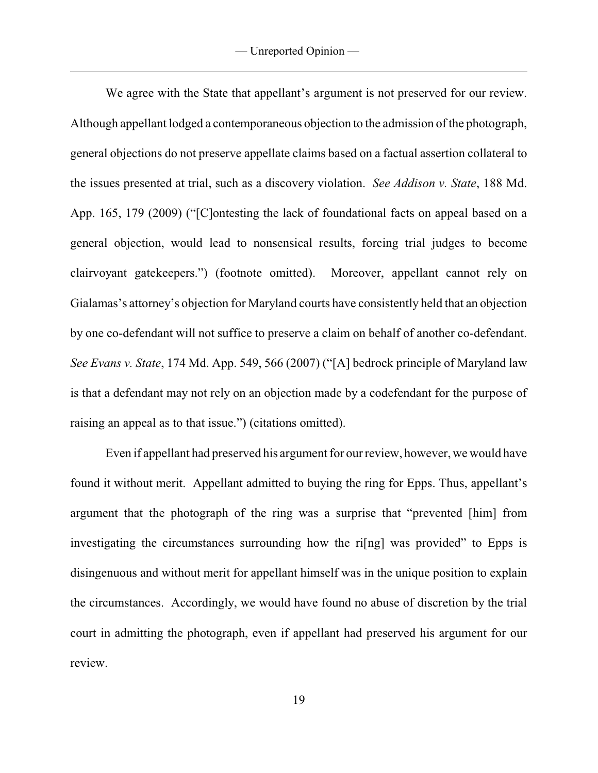We agree with the State that appellant's argument is not preserved for our review. Although appellant lodged a contemporaneous objection to the admission of the photograph, general objections do not preserve appellate claims based on a factual assertion collateral to the issues presented at trial, such as a discovery violation. *See Addison v. State*, 188 Md. App. 165, 179 (2009) ("[C]ontesting the lack of foundational facts on appeal based on a general objection, would lead to nonsensical results, forcing trial judges to become clairvoyant gatekeepers.") (footnote omitted). Moreover, appellant cannot rely on Gialamas's attorney's objection for Maryland courts have consistently held that an objection by one co-defendant will not suffice to preserve a claim on behalf of another co-defendant. *See Evans v. State*, 174 Md. App. 549, 566 (2007) ("[A] bedrock principle of Maryland law is that a defendant may not rely on an objection made by a codefendant for the purpose of raising an appeal as to that issue.") (citations omitted).

Even if appellant had preserved his argument for our review, however, we would have found it without merit. Appellant admitted to buying the ring for Epps. Thus, appellant's argument that the photograph of the ring was a surprise that "prevented [him] from investigating the circumstances surrounding how the ri[ng] was provided" to Epps is disingenuous and without merit for appellant himself was in the unique position to explain the circumstances. Accordingly, we would have found no abuse of discretion by the trial court in admitting the photograph, even if appellant had preserved his argument for our review.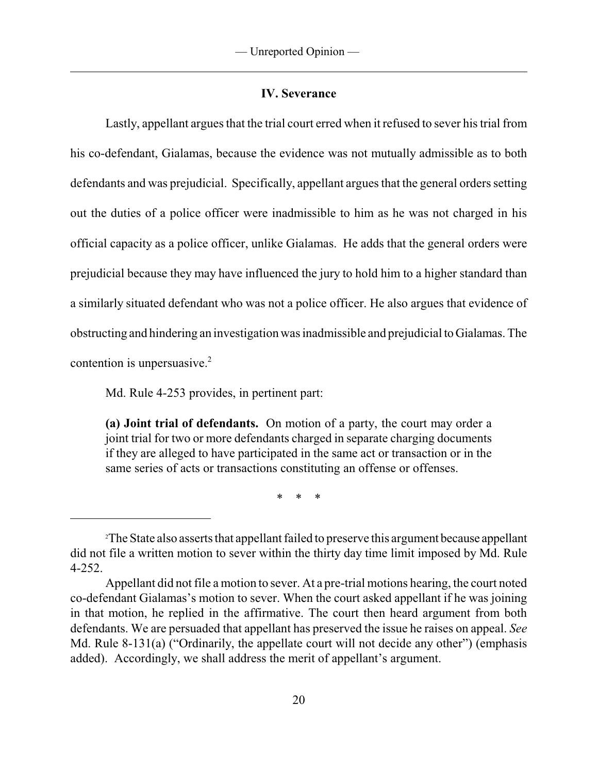### **IV. Severance**

Lastly, appellant argues that the trial court erred when it refused to sever his trial from his co-defendant, Gialamas, because the evidence was not mutually admissible as to both defendants and was prejudicial. Specifically, appellant argues that the general orders setting out the duties of a police officer were inadmissible to him as he was not charged in his official capacity as a police officer, unlike Gialamas. He adds that the general orders were prejudicial because they may have influenced the jury to hold him to a higher standard than a similarly situated defendant who was not a police officer. He also argues that evidence of obstructing and hindering an investigation was inadmissible and prejudicial toGialamas. The contention is unpersuasive.<sup>2</sup>

Md. Rule 4-253 provides, in pertinent part:

**(a) Joint trial of defendants.** On motion of a party, the court may order a joint trial for two or more defendants charged in separate charging documents if they are alleged to have participated in the same act or transaction or in the same series of acts or transactions constituting an offense or offenses.

\* \* \*

The State also asserts that appellant failed to preserve this argument because appellant 2 did not file a written motion to sever within the thirty day time limit imposed by Md. Rule 4-252.

Appellant did not file a motion to sever. At a pre-trial motions hearing, the court noted co-defendant Gialamas's motion to sever. When the court asked appellant if he was joining in that motion, he replied in the affirmative. The court then heard argument from both defendants. We are persuaded that appellant has preserved the issue he raises on appeal. *See* Md. Rule 8-131(a) ("Ordinarily, the appellate court will not decide any other") (emphasis added). Accordingly, we shall address the merit of appellant's argument.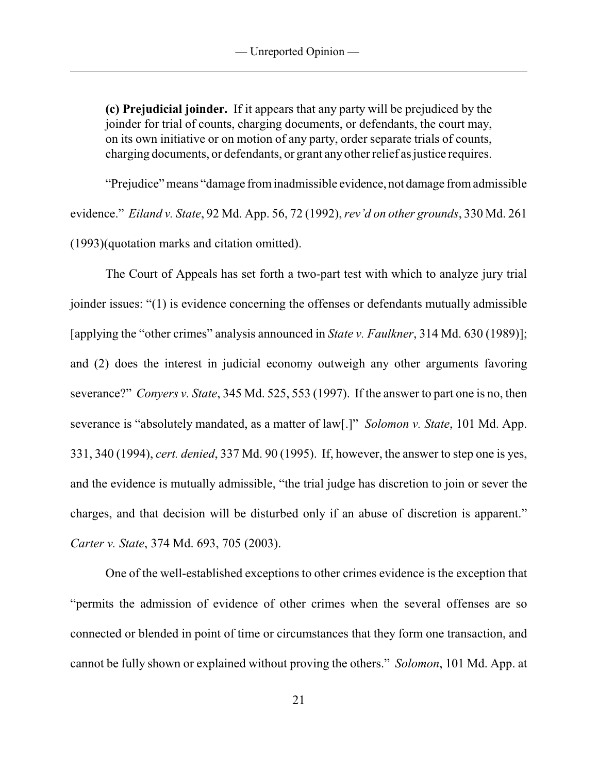**(c) Prejudicial joinder.** If it appears that any party will be prejudiced by the joinder for trial of counts, charging documents, or defendants, the court may, on its own initiative or on motion of any party, order separate trials of counts, charging documents, or defendants, or grant anyother relief as justice requires.

"Prejudice" means "damage frominadmissible evidence, not damage fromadmissible evidence." *Eiland v. State*, 92 Md. App. 56, 72 (1992), *rev'd on other grounds*, 330 Md. 261 (1993)(quotation marks and citation omitted).

The Court of Appeals has set forth a two-part test with which to analyze jury trial joinder issues: "(1) is evidence concerning the offenses or defendants mutually admissible [applying the "other crimes" analysis announced in *State v. Faulkner*, 314 Md. 630 (1989)]; and (2) does the interest in judicial economy outweigh any other arguments favoring severance?" *Conyers v. State*, 345 Md. 525, 553 (1997). If the answer to part one is no, then severance is "absolutely mandated, as a matter of law[.]" *Solomon v. State*, 101 Md. App. 331, 340 (1994), *cert. denied*, 337 Md. 90 (1995). If, however, the answer to step one is yes, and the evidence is mutually admissible, "the trial judge has discretion to join or sever the charges, and that decision will be disturbed only if an abuse of discretion is apparent." *Carter v. State*, 374 Md. 693, 705 (2003).

One of the well-established exceptions to other crimes evidence is the exception that "permits the admission of evidence of other crimes when the several offenses are so connected or blended in point of time or circumstances that they form one transaction, and cannot be fully shown or explained without proving the others." *Solomon*, 101 Md. App. at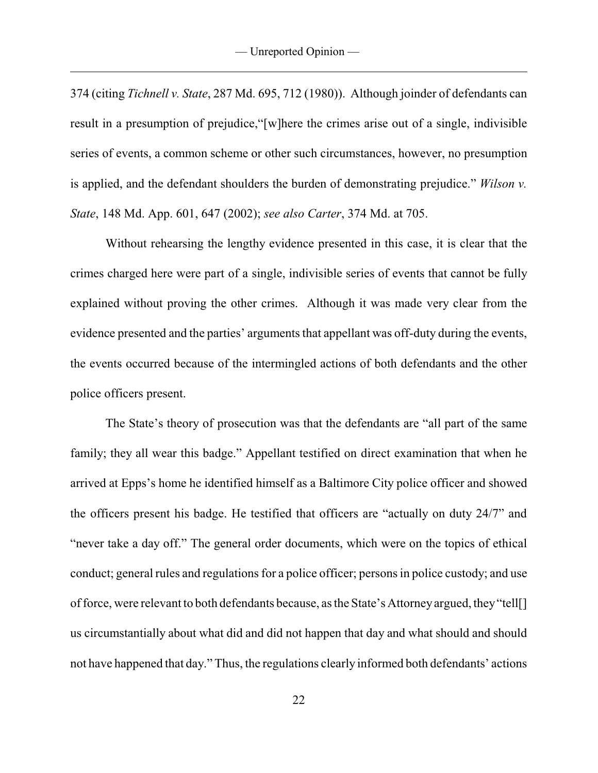374 (citing *Tichnell v. State*, 287 Md. 695, 712 (1980)). Although joinder of defendants can result in a presumption of prejudice,"[w]here the crimes arise out of a single, indivisible series of events, a common scheme or other such circumstances, however, no presumption is applied, and the defendant shoulders the burden of demonstrating prejudice." *Wilson v. State*, 148 Md. App. 601, 647 (2002); *see also Carter*, 374 Md. at 705.

Without rehearsing the lengthy evidence presented in this case, it is clear that the crimes charged here were part of a single, indivisible series of events that cannot be fully explained without proving the other crimes. Although it was made very clear from the evidence presented and the parties' arguments that appellant was off-duty during the events, the events occurred because of the intermingled actions of both defendants and the other police officers present.

The State's theory of prosecution was that the defendants are "all part of the same family; they all wear this badge." Appellant testified on direct examination that when he arrived at Epps's home he identified himself as a Baltimore City police officer and showed the officers present his badge. He testified that officers are "actually on duty 24/7" and "never take a day off." The general order documents, which were on the topics of ethical conduct; general rules and regulations for a police officer; persons in police custody; and use offorce, were relevant to both defendants because, as the State's Attorneyargued, they"tell[] us circumstantially about what did and did not happen that day and what should and should not have happened that day." Thus, the regulations clearly informed both defendants' actions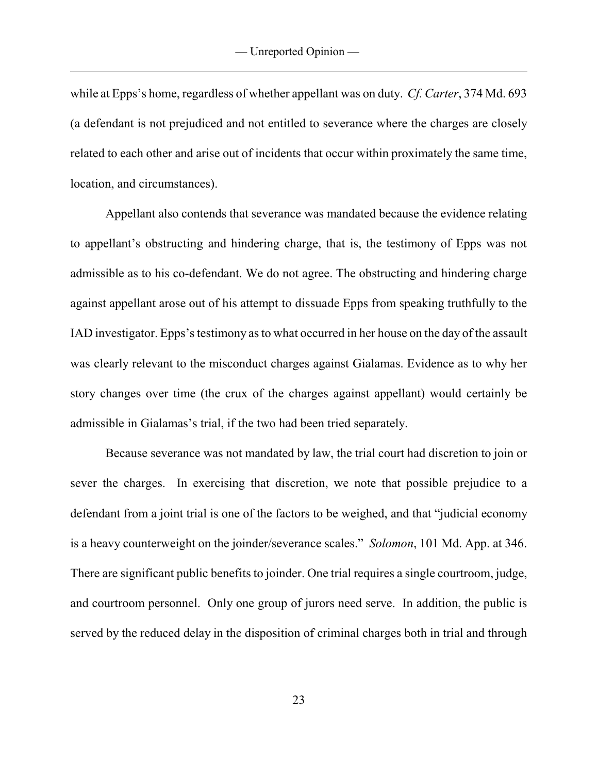while at Epps's home, regardless of whether appellant was on duty. *Cf. Carter*, 374 Md. 693 (a defendant is not prejudiced and not entitled to severance where the charges are closely related to each other and arise out of incidents that occur within proximately the same time, location, and circumstances).

Appellant also contends that severance was mandated because the evidence relating to appellant's obstructing and hindering charge, that is, the testimony of Epps was not admissible as to his co-defendant. We do not agree. The obstructing and hindering charge against appellant arose out of his attempt to dissuade Epps from speaking truthfully to the IAD investigator. Epps's testimony as to what occurred in her house on the day of the assault was clearly relevant to the misconduct charges against Gialamas. Evidence as to why her story changes over time (the crux of the charges against appellant) would certainly be admissible in Gialamas's trial, if the two had been tried separately.

Because severance was not mandated by law, the trial court had discretion to join or sever the charges. In exercising that discretion, we note that possible prejudice to a defendant from a joint trial is one of the factors to be weighed, and that "judicial economy is a heavy counterweight on the joinder/severance scales." *Solomon*, 101 Md. App. at 346. There are significant public benefits to joinder. One trial requires a single courtroom, judge, and courtroom personnel. Only one group of jurors need serve. In addition, the public is served by the reduced delay in the disposition of criminal charges both in trial and through